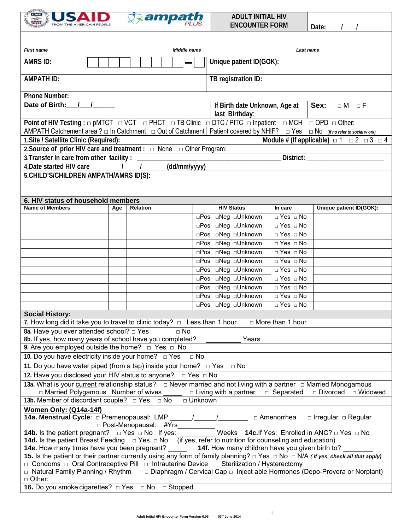



| <b>First name</b>                                                                                                                                                                                                                                                                                                                                                                                           |     | Middle name<br>Last name |              |                         |                                                            |                         |  |  |
|-------------------------------------------------------------------------------------------------------------------------------------------------------------------------------------------------------------------------------------------------------------------------------------------------------------------------------------------------------------------------------------------------------------|-----|--------------------------|--------------|-------------------------|------------------------------------------------------------|-------------------------|--|--|
| <b>AMRS ID:</b>                                                                                                                                                                                                                                                                                                                                                                                             |     |                          |              | Unique patient ID(GOK): |                                                            |                         |  |  |
| <b>AMPATH ID:</b>                                                                                                                                                                                                                                                                                                                                                                                           |     |                          |              | TB registration ID:     |                                                            |                         |  |  |
| <b>Phone Number:</b>                                                                                                                                                                                                                                                                                                                                                                                        |     |                          |              |                         |                                                            |                         |  |  |
| Date of Birth:                                                                                                                                                                                                                                                                                                                                                                                              |     |                          |              | last Birthday:          | If Birth date Unknown, Age at<br>Sex:<br>$\Box M$ $\Box F$ |                         |  |  |
| Point of HIV Testing : $\Box$ pMTCT $\Box$ VCT $\Box$ PHCT $\Box$ TB Clinic $\Box$ DTC / PITC $\Box$ Inpatient $\Box$ MCH<br>$\Box$ OPD $\Box$ Other:                                                                                                                                                                                                                                                       |     |                          |              |                         |                                                            |                         |  |  |
| AMPATH Catchement area ? $\Box$ In Catchment $\Box$ Out of Catchment   Patient covered by NHIF? $\Box$ Yes $\Box$ No (if no refer to social w ork)                                                                                                                                                                                                                                                          |     |                          |              |                         |                                                            |                         |  |  |
| 1. Site / Satellite Clinic (Required):<br>Module # (If applicable) $\Box$ 1 $\Box$ 2 $\Box$ 3 $\Box$ 4                                                                                                                                                                                                                                                                                                      |     |                          |              |                         |                                                            |                         |  |  |
| 2. Source of prior HIV care and treatment : $\Box$ None $\Box$ Other Program:                                                                                                                                                                                                                                                                                                                               |     |                          |              |                         |                                                            |                         |  |  |
| 3. Transfer In care from other facility:                                                                                                                                                                                                                                                                                                                                                                    |     |                          |              |                         | District:                                                  |                         |  |  |
| 4. Date started HIV care                                                                                                                                                                                                                                                                                                                                                                                    |     |                          | (dd/mm/yyyy) |                         |                                                            |                         |  |  |
| 5. CHILD'S/CHILDREN AMPATH/AMRS ID(S):<br>6. HIV status of household members                                                                                                                                                                                                                                                                                                                                |     |                          |              |                         |                                                            |                         |  |  |
| <b>Name of Members</b>                                                                                                                                                                                                                                                                                                                                                                                      | Age | <b>Relation</b>          |              | <b>HIV Status</b>       | In care                                                    | Unique patient ID(GOK): |  |  |
|                                                                                                                                                                                                                                                                                                                                                                                                             |     |                          |              | □Pos □Neg □Unknown      | □ Yes □ No                                                 |                         |  |  |
|                                                                                                                                                                                                                                                                                                                                                                                                             |     |                          |              | □Pos □Neg □Unknown      | $\Box$ Yes $\Box$ No                                       |                         |  |  |
|                                                                                                                                                                                                                                                                                                                                                                                                             |     |                          |              | □Pos □Neg □Unknown      | $\Box$ Yes $\Box$ No                                       |                         |  |  |
|                                                                                                                                                                                                                                                                                                                                                                                                             |     |                          |              | □Pos □Neg □Unknown      | $\Box$ Yes $\Box$ No                                       |                         |  |  |
|                                                                                                                                                                                                                                                                                                                                                                                                             |     |                          |              | □Pos □Neg □Unknown      | $\Box$ Yes $\Box$ No                                       |                         |  |  |
|                                                                                                                                                                                                                                                                                                                                                                                                             |     |                          |              | □Pos □Neg □Unknown      | $\Box$ Yes $\Box$ No                                       |                         |  |  |
|                                                                                                                                                                                                                                                                                                                                                                                                             |     |                          |              | □Pos □Neg □Unknown      | $\Box$ Yes $\Box$ No                                       |                         |  |  |
|                                                                                                                                                                                                                                                                                                                                                                                                             |     |                          |              | □Pos □Neg □Unknown      | $\Box$ Yes $\Box$ No                                       |                         |  |  |
|                                                                                                                                                                                                                                                                                                                                                                                                             |     |                          |              | □Pos □Neg □Unknown      | $\Box$ Yes $\Box$ No                                       |                         |  |  |
|                                                                                                                                                                                                                                                                                                                                                                                                             |     |                          |              | □Pos □Neg □Unknown      | $\Box$ Yes $\Box$ No                                       |                         |  |  |
|                                                                                                                                                                                                                                                                                                                                                                                                             |     |                          |              | □Pos □Neg □Unknown      | $\Box$ Yes $\Box$ No                                       |                         |  |  |
| <b>Social History:</b>                                                                                                                                                                                                                                                                                                                                                                                      |     |                          |              |                         |                                                            |                         |  |  |
| 7. How long did it take you to travel to clinic today? $\Box$ Less than 1 hour                                                                                                                                                                                                                                                                                                                              |     |                          |              |                         | □ More than 1 hour                                         |                         |  |  |
| 8a. Have you ever attended school? □ Yes<br>$\Box$ No<br>8b. If yes, how many years of school have you completed?<br>Years                                                                                                                                                                                                                                                                                  |     |                          |              |                         |                                                            |                         |  |  |
| 9. Are you employed outside the home? $\Box$ Yes $\Box$ No                                                                                                                                                                                                                                                                                                                                                  |     |                          |              |                         |                                                            |                         |  |  |
| 10. Do you have electricity inside your home? $\Box$ Yes                                                                                                                                                                                                                                                                                                                                                    |     |                          | $\Box$ No    |                         |                                                            |                         |  |  |
| 11. Do you have water piped (from a tap) inside your home? $\Box$ Yes<br>$\Box$ No                                                                                                                                                                                                                                                                                                                          |     |                          |              |                         |                                                            |                         |  |  |
| 12. Have you disclosed your HIV status to anyone? $\Box$ Yes $\Box$ No                                                                                                                                                                                                                                                                                                                                      |     |                          |              |                         |                                                            |                         |  |  |
| 13a. What is your current relationship status? $\Box$ Never married and not living with a partner $\Box$ Married Monogamous<br>□ Married Polygamous Number of wives<br>$\Box$ Living with a partner $\Box$ Separated $\Box$ Divorced $\Box$ Widowed                                                                                                                                                         |     |                          |              |                         |                                                            |                         |  |  |
| 13b. Member of discordant couple? $\Box$ Yes $\Box$ No<br>□ Unknown                                                                                                                                                                                                                                                                                                                                         |     |                          |              |                         |                                                            |                         |  |  |
| Women Only: (Q14a-14f)<br>□ Amenorrhea<br>$\Box$ Irregular $\Box$ Regular<br>□ Post-Menopausal: #Yrs                                                                                                                                                                                                                                                                                                        |     |                          |              |                         |                                                            |                         |  |  |
| <b>14b.</b> Is the patient pregnant? $\Box$ Yes $\Box$ No If yes:<br>Weeks 14c. If Yes: Enrolled in ANC? $\Box$ Yes $\Box$ No<br><b>14d.</b> Is the patient Breast Feeding $\Box$ Yes $\Box$ No (if yes, refer to nutrition for counseling and education)                                                                                                                                                   |     |                          |              |                         |                                                            |                         |  |  |
| 14e. How many times have you been pregnant? _______ 14f. How many children have you given birth to?                                                                                                                                                                                                                                                                                                         |     |                          |              |                         |                                                            |                         |  |  |
| 15. Is the patient or their partner currently using any form of family planning? $\Box$ Yes $\Box$ No $\Box$ N/A (if yes, check all that apply)<br>$\Box$ Condoms $\Box$ Oral Contraceptive Pill $\Box$ Intrauterine Device $\Box$ Sterilization / Hysterectomy<br>□ Diaphragm / Cervical Cap □ Inject able Hormones (Depo-Provera or Norplant)<br>$\Box$ Natural Family Planning / Rhythm<br>$\Box$ Other: |     |                          |              |                         |                                                            |                         |  |  |
| <b>16.</b> Do you smoke cigarettes? □ Yes □ No □ Stopped                                                                                                                                                                                                                                                                                                                                                    |     |                          |              |                         |                                                            |                         |  |  |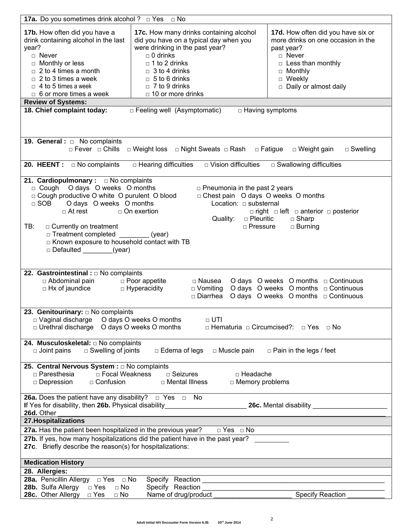| <b>17a.</b> Do you sometimes drink alcohol ? $\Box$ Yes $\Box$ No                                                                                                                                                                                                                                                                                     |                                                                                                                                                                                                                                                                                                                                                                                                                                                                                                             |                                                                                              |  |  |  |  |  |  |
|-------------------------------------------------------------------------------------------------------------------------------------------------------------------------------------------------------------------------------------------------------------------------------------------------------------------------------------------------------|-------------------------------------------------------------------------------------------------------------------------------------------------------------------------------------------------------------------------------------------------------------------------------------------------------------------------------------------------------------------------------------------------------------------------------------------------------------------------------------------------------------|----------------------------------------------------------------------------------------------|--|--|--|--|--|--|
| 17b. How often did you have a<br>drink containing alcohol in the last<br>year?<br>$\Box$ Never<br>$\Box$ Monthly or less<br>$\Box$ 2 to 4 times a month<br>$\Box$ 2 to 3 times a week<br>$\Box$ 4 to 5 times a week<br>$\Box$ 6 or more times a week<br><b>Review of Systems:</b><br>18. Chief complaint today:<br>$\Box$ Feeling well (Asymptomatic) | 17d. How often did you have six or<br>more drinks on one occasion in the<br>past year?<br>□ Never<br>$\Box$ Less than monthly<br>□ Monthly<br>$\Box$ Weekly<br>Daily or almost daily<br>$\Box$ Having symptoms                                                                                                                                                                                                                                                                                              |                                                                                              |  |  |  |  |  |  |
| <b>19. General :</b> $\Box$ No complaints                                                                                                                                                                                                                                                                                                             |                                                                                                                                                                                                                                                                                                                                                                                                                                                                                                             |                                                                                              |  |  |  |  |  |  |
|                                                                                                                                                                                                                                                                                                                                                       | □ Fever □ Chills □ Weight loss □ Night Sweats □ Rash □ Fatigue                                                                                                                                                                                                                                                                                                                                                                                                                                              | □ Weight gain<br>$\Box$ Swelling                                                             |  |  |  |  |  |  |
| <b>20. HEENT</b> : $\Box$ No complaints                                                                                                                                                                                                                                                                                                               | $\Box$ Hearing difficulties $\Box$ Vision difficulties                                                                                                                                                                                                                                                                                                                                                                                                                                                      | □ Swallowing difficulties                                                                    |  |  |  |  |  |  |
| $\Box$ SOB<br>$\Box$ At rest<br>TB:<br>□ Currently on treatment<br>□ Treatment completed<br>$\Box$ Defaulted                                                                                                                                                                                                                                          | 21. Cardiopulmonary : $\Box$ No complaints<br>c Cough O days O weeks O months<br>$\Box$ Pneumonia in the past 2 years<br>□ Cough productive O white O purulent O blood<br>□ Chest pain O days O weeks O months<br>O days O weeks O months<br>Location: $\Box$ substernal<br>$\Box$ On exertion<br>$\Box$ right $\Box$ left $\Box$ anterior $\Box$ posterior<br>□ Pleuritic<br>Quality:<br>$\Box$ Sharp<br>□ Pressure<br>$\Box$ Burning<br>(year)<br>□ Known exposure to household contact with TB<br>(year) |                                                                                              |  |  |  |  |  |  |
| 22. Gastrointestinal : $\Box$ No complaints<br>□ Abdominal pain<br>□ Hx of jaundice                                                                                                                                                                                                                                                                   | $\Box$ Poor appetite<br>□ Nausea<br>□ Hyperacidity<br>□ Diarrhea                                                                                                                                                                                                                                                                                                                                                                                                                                            | O days O weeks O months $\Box$ Continuous<br>D Vomiting O days O weeks O months D Continuous |  |  |  |  |  |  |
| 23. Genitourinary: $\square$ No complaints<br>□ Vaginal discharge<br>O days O weeks O months<br>$\Box$ UTI<br>$\Box$ Urethral discharge $\Box$ O days O weeks O months<br>□ Hematuria □ Circumcised?: □ Yes □ No                                                                                                                                      |                                                                                                                                                                                                                                                                                                                                                                                                                                                                                                             |                                                                                              |  |  |  |  |  |  |
| 24. Musculoskeletal: $\Box$ No complaints<br>$\Box$ Swelling of joints<br>$\Box$ Edema of legs<br>□ Muscle pain<br>$\Box$ Pain in the legs / feet<br>$\square$ Joint pains                                                                                                                                                                            |                                                                                                                                                                                                                                                                                                                                                                                                                                                                                                             |                                                                                              |  |  |  |  |  |  |
| 25. Central Nervous System : a No complaints<br>□ Paresthesia<br>□ Focal Weakness<br>$\Box$ Seizures<br>□ Headache<br>$\Box$ Depression<br>□ Confusion<br>□ Mental Illness<br>$\Box$ Memory problems                                                                                                                                                  |                                                                                                                                                                                                                                                                                                                                                                                                                                                                                                             |                                                                                              |  |  |  |  |  |  |
| <b>26a.</b> Does the patient have any disability? $\Box$ Yes $\Box$ No<br>If Yes for disability, then 26b. Physical disability____________________________<br>26c. Mental disability<br>26d. Other                                                                                                                                                    |                                                                                                                                                                                                                                                                                                                                                                                                                                                                                                             |                                                                                              |  |  |  |  |  |  |
| 27. Hospitalizations                                                                                                                                                                                                                                                                                                                                  |                                                                                                                                                                                                                                                                                                                                                                                                                                                                                                             |                                                                                              |  |  |  |  |  |  |
| 27a. Has the patient been hospitalized in the previous year?<br>$\overline{\Box}$ Yes $\Box$ No<br>27b. If yes, how many hospitalizations did the patient have in the past year?<br>27c. Briefly describe the reason(s) for hospitalizations:                                                                                                         |                                                                                                                                                                                                                                                                                                                                                                                                                                                                                                             |                                                                                              |  |  |  |  |  |  |
| <b>Medication History</b>                                                                                                                                                                                                                                                                                                                             |                                                                                                                                                                                                                                                                                                                                                                                                                                                                                                             |                                                                                              |  |  |  |  |  |  |
| 28. Allergies:                                                                                                                                                                                                                                                                                                                                        |                                                                                                                                                                                                                                                                                                                                                                                                                                                                                                             |                                                                                              |  |  |  |  |  |  |
| <b>28a.</b> Penicillin Allergy $\Box$ Yes $\Box$ No                                                                                                                                                                                                                                                                                                   |                                                                                                                                                                                                                                                                                                                                                                                                                                                                                                             |                                                                                              |  |  |  |  |  |  |
| 28b. Sulfa Allergy<br>$\Box$ Yes<br>$\Box$ No                                                                                                                                                                                                                                                                                                         | Specify Reaction                                                                                                                                                                                                                                                                                                                                                                                                                                                                                            |                                                                                              |  |  |  |  |  |  |
| <b>28c.</b> Other Allergy □ Yes<br>$\Box$ No                                                                                                                                                                                                                                                                                                          | Name of drug/product                                                                                                                                                                                                                                                                                                                                                                                                                                                                                        | <b>Specify Reaction</b>                                                                      |  |  |  |  |  |  |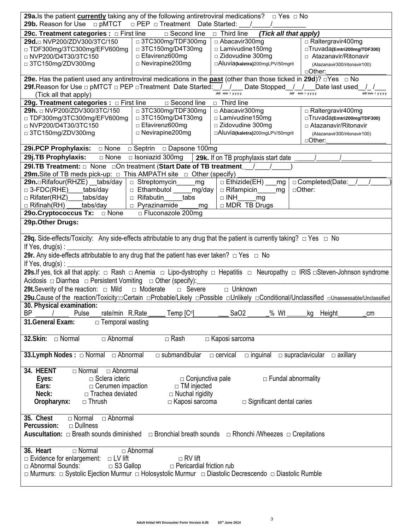| 29a. Is the patient currently taking any of the following antiretroviral medications? $\Box$ Yes $\Box$ No                            |                                            |                                               |                                                       |  |  |  |  |  |
|---------------------------------------------------------------------------------------------------------------------------------------|--------------------------------------------|-----------------------------------------------|-------------------------------------------------------|--|--|--|--|--|
| <b>29b.</b> Reason for Use □ pMTCT<br>$\Box$ PEP $\Box$ Treatment Date Started:                                                       |                                            |                                               |                                                       |  |  |  |  |  |
| 29c. Treatment categories : O First line<br>□ Second line<br>$\Box$ Third line<br>(Tick all that apply)                               |                                            |                                               |                                                       |  |  |  |  |  |
| 29d.□ NVP200/ZDV300/3TC/150                                                                                                           | □ 3TC300mg/TDF300mg                        | □ Abacavir300mg                               | □ Raltergravir400mg                                   |  |  |  |  |  |
| □ TDF300mg/3TC300mg/EFV600mg                                                                                                          | □ 3TC150mg/D4T30mg                         | $\Box$ Lamivudine 150mg<br>□ Zidovudine 300mg | □Truvada(Emtri200mg/TDF300)<br>□ Atazanavir/Ritonavir |  |  |  |  |  |
| □ NVP200/D4T30/3TC150                                                                                                                 | □ Efavirenz600mg<br>$\Box$ Nevirapine200mg | □Aluvia(kaletra)200mgLPV/50mgrit              |                                                       |  |  |  |  |  |
| □ 3TC150mg/ZDV300mg                                                                                                                   |                                            |                                               | (Atazanavir300/ritonavir100)<br>□Other:               |  |  |  |  |  |
| 29e. Has the patient used any antiretroviral medications in the past (other than those ticked in 29d)? $\Box$ Yes $\Box$ No           |                                            |                                               |                                                       |  |  |  |  |  |
| 29f.Reason for Use □ pMTCT □ PEP □Treatment Date Started: _/ _/ __ Date Stopped _/ _/ __ Date last used _/ _/                         |                                            |                                               |                                                       |  |  |  |  |  |
| dd/ mm / yyyy<br>dd/ mm / yyyy<br>dd/mm / yyyy<br>(Tick all that apply)                                                               |                                            |                                               |                                                       |  |  |  |  |  |
| 29g. Treatment categories : $\Box$ First line<br>□ Second line<br>$\Box$ Third line<br>□ 3TC300mg/TDF300mg                            |                                            |                                               |                                                       |  |  |  |  |  |
| 29h. <u>□ NVP200/ZDV300/3TC/150</u>                                                                                                   | □ Abacavir300mg                            | □ Raltergravir400mg                           |                                                       |  |  |  |  |  |
| □ TDF300mg/3TC300mg/EFV600mg                                                                                                          | □ 3TC150mg/D4T30mg                         | □ Lamivudine150mg                             | □Truvada(Emtri200mg/TDF300)                           |  |  |  |  |  |
| □ NVP200/D4T30/3TC150                                                                                                                 | □ Efavirenz600mg                           | □ Zidovudine 300mg                            | □ Atazanavir/Ritonavir                                |  |  |  |  |  |
| □ 3TC150mg/ZDV300mg                                                                                                                   | □ Nevirapine200mg                          | □Aluvia(kaletra)200mgLPV/50mgrit              | (Atazanavir300/ritonavir100)                          |  |  |  |  |  |
|                                                                                                                                       |                                            |                                               | □Other:                                               |  |  |  |  |  |
| 29j.TB Prophylaxis:<br>□ None                                                                                                         | $\Box$ Isoniazid 300mg                     | 29k. If on TB prophylaxis start date          |                                                       |  |  |  |  |  |
| 29I.TB Treatment: $\Box$ None $\Box$ On treatment (Start Date of TB treatment /                                                       |                                            |                                               |                                                       |  |  |  |  |  |
| <b>29m.</b> Site of TB meds pick-up: $\Box$ This AMPATH site $\Box$ Other (specify)                                                   |                                            |                                               |                                                       |  |  |  |  |  |
| 29n.□Rifafour(RHZE) tabs/day                                                                                                          | $\Box$ Streptomycin mg                     | $\Box$ Ethizide(EH) __<br>_mg                 | $\Box$ Completed(Date: / /                            |  |  |  |  |  |
| $\Box$ 3-FDC(RHE) tabs/day                                                                                                            | □ Ethambutol _____ mg/day                  | □ Rifampicin<br>mg                            | □Other:                                               |  |  |  |  |  |
| □ Rifater(RHZ) tabs/day                                                                                                               | $\Box$ Rifabutin<br>tabs                   | $\Box$ INH<br>mq                              |                                                       |  |  |  |  |  |
| $\Box$ Rifinah(RH) $\_\_$<br>tabs/day                                                                                                 | $\Box$ Pyrazinamide<br>mg                  | □ MDR TB Drugs                                |                                                       |  |  |  |  |  |
|                                                                                                                                       | □ Fluconazole 200mg                        |                                               |                                                       |  |  |  |  |  |
| 29p.Other Drugs:                                                                                                                      |                                            |                                               |                                                       |  |  |  |  |  |
|                                                                                                                                       |                                            |                                               |                                                       |  |  |  |  |  |
| 29q. Side-effects/Toxicity: Any side-effects attributable to any drug that the patient is currently taking? □ Yes □ No                |                                            |                                               |                                                       |  |  |  |  |  |
| If Yes, drug(s):                                                                                                                      |                                            |                                               |                                                       |  |  |  |  |  |
| 29r. Any side-effects attributable to any drug that the patient has ever taken? $\Box$ Yes $\Box$ No                                  |                                            |                                               |                                                       |  |  |  |  |  |
| If Yes, drug(s) : $\overline{\phantom{a}}$                                                                                            |                                            |                                               |                                                       |  |  |  |  |  |
| 29s.If yes, tick all that apply: □ Rash □ Anemia □ Lipo-dystrophy □ Hepatitis □ Neuropathy □ IRIS □Steven-Johnson syndrome            |                                            |                                               |                                                       |  |  |  |  |  |
| Acidosis $\Box$ Diarrhea $\Box$ Persistent Vomiting $\Box$ Other (specify):                                                           |                                            |                                               |                                                       |  |  |  |  |  |
|                                                                                                                                       |                                            |                                               |                                                       |  |  |  |  |  |
| 29t. Severity of the reaction: $\Box$ Mild                                                                                            | □ Moderate<br>$\Box$ Severe                | □ Unknown                                     |                                                       |  |  |  |  |  |
| 29u.Cause of the reaction/Toxicity:□Certain □Probable/Likely □Possible □Unlikely □Conditional/Unclassified □Unassessable/Unclassified |                                            |                                               |                                                       |  |  |  |  |  |
| 30. Physical examination:<br>rate/min R.Rate_<br>$\Box$ Temp $[C^{\circ}]$<br>SaO2<br>__% Wt _______kg Height_<br>BP<br>Pulse<br>сm   |                                            |                                               |                                                       |  |  |  |  |  |
| 31. General Exam:<br>$\Box$ Temporal wasting                                                                                          |                                            |                                               |                                                       |  |  |  |  |  |
|                                                                                                                                       |                                            |                                               |                                                       |  |  |  |  |  |
| 32. Skin: Normal<br>□ Abnormal                                                                                                        | $\Box$ Rash                                | □ Kaposi sarcoma                              |                                                       |  |  |  |  |  |
| 33. Lymph Nodes : □ Normal □ Abnormal                                                                                                 | $\Box$ submandibular                       | $\Box$ cervical<br>$\Box$ inguinal            | $\Box$ supraclavicular $\Box$ axillary                |  |  |  |  |  |
|                                                                                                                                       |                                            |                                               |                                                       |  |  |  |  |  |
| 34. HEENT<br>□ Abnormal<br>$\Box$ Normal                                                                                              |                                            |                                               |                                                       |  |  |  |  |  |
| $\Box$ Sclera icteric<br>Eyes:                                                                                                        | $\Box$ Conjunctiva pale                    |                                               | □ Fundal abnormality                                  |  |  |  |  |  |
| Ears:<br>$\Box$ Cerumen impaction                                                                                                     | $\Box$ TM injected                         |                                               |                                                       |  |  |  |  |  |
| Neck:<br>□ Trachea deviated<br>$\Box$ Nuchal rigidity                                                                                 |                                            |                                               |                                                       |  |  |  |  |  |
| Oropharynx:<br>$\Box$ Thrush<br>$\Box$ Kaposi sarcoma<br>$\Box$ Significant dental caries                                             |                                            |                                               |                                                       |  |  |  |  |  |
|                                                                                                                                       |                                            |                                               |                                                       |  |  |  |  |  |
| $\Box$ Abnormal<br>35. Chest<br>$\Box$ Normal                                                                                         |                                            |                                               |                                                       |  |  |  |  |  |
| Percussion:<br>$\Box$ Dullness                                                                                                        |                                            |                                               |                                                       |  |  |  |  |  |
| Auscultation: $\Box$ Breath sounds diminished $\Box$ Bronchial breath sounds $\Box$ Rhonchi /Wheezes $\Box$ Crepitations              |                                            |                                               |                                                       |  |  |  |  |  |
| $\Box$ Normal<br>□ Abnormal<br>36. Heart                                                                                              |                                            |                                               |                                                       |  |  |  |  |  |
| □ Evidence for enlargement:<br>$\Box$ RV lift<br>$\Box$ LV lift                                                                       |                                            |                                               |                                                       |  |  |  |  |  |
| □ Abnormal Sounds:<br>$\Box$ S3 Gallop                                                                                                | $\Box$ Pericardial friction rub            |                                               |                                                       |  |  |  |  |  |
| □ Murmurs: □ Systolic Ejection Murmur □ Holosystolic Murmur □ Diastolic Decrescendo □ Diastolic Rumble                                |                                            |                                               |                                                       |  |  |  |  |  |
|                                                                                                                                       |                                            |                                               |                                                       |  |  |  |  |  |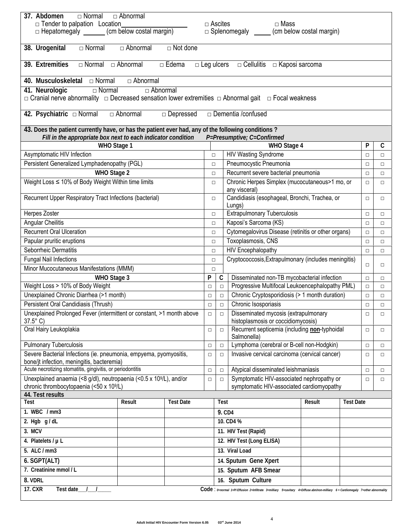| □ Normal<br>$\Box$ Abnormal<br>37. Abdomen                                                                                    |        |                  |                           |                |                                                                                                                                 |                                                                                      |                  |        |        |
|-------------------------------------------------------------------------------------------------------------------------------|--------|------------------|---------------------------|----------------|---------------------------------------------------------------------------------------------------------------------------------|--------------------------------------------------------------------------------------|------------------|--------|--------|
| $\Box$ Tender to palpation Location                                                                                           |        |                  |                           | $\Box$ Ascites | $\Box$ Mass                                                                                                                     |                                                                                      |                  |        |        |
| □ Hepatomegaly ______ (cm below costal margin)<br>$\Box$ Splenomegaly _______ (cm below costal margin)                        |        |                  |                           |                |                                                                                                                                 |                                                                                      |                  |        |        |
| 38. Urogenital<br>$\Box$ Abnormal<br>$\Box$ Not done<br>$\Box$ Normal                                                         |        |                  |                           |                |                                                                                                                                 |                                                                                      |                  |        |        |
|                                                                                                                               |        |                  |                           |                |                                                                                                                                 |                                                                                      |                  |        |        |
| 39. Extremities<br>$\Box$ Leg ulcers $\Box$ Cellulitis $\Box$ Kaposi sarcoma<br>$\Box$ Normal $\Box$ Abnormal<br>$\Box$ Edema |        |                  |                           |                |                                                                                                                                 |                                                                                      |                  |        |        |
| 40. Musculoskeletal $\Box$ Normal<br>□ Abnormal                                                                               |        |                  |                           |                |                                                                                                                                 |                                                                                      |                  |        |        |
| $\Box$ Normal<br>41. Neurologic<br>$\Box$ Abnormal                                                                            |        |                  |                           |                |                                                                                                                                 |                                                                                      |                  |        |        |
| □ Cranial nerve abnormality □ Decreased sensation lower extremities □ Abnormal gait □ Focal weakness                          |        |                  |                           |                |                                                                                                                                 |                                                                                      |                  |        |        |
| □ Abnormal<br>$\Box$ Dementia /confused<br>42. Psychiatric □ Normal<br>□ Depressed                                            |        |                  |                           |                |                                                                                                                                 |                                                                                      |                  |        |        |
| 43. Does the patient currently have, or has the patient ever had, any of the following conditions?                            |        |                  |                           |                |                                                                                                                                 |                                                                                      |                  |        |        |
| Fill in the appropriate box next to each indicator condition<br>P=Presumptive; C=Confirmed                                    |        |                  |                           |                |                                                                                                                                 |                                                                                      |                  |        |        |
| WHO Stage 1                                                                                                                   |        |                  |                           |                | WHO Stage 4                                                                                                                     |                                                                                      |                  | P      | C      |
| Asymptomatic HIV Infection                                                                                                    |        |                  | $\Box$                    |                | <b>HIV Wasting Syndrome</b>                                                                                                     |                                                                                      |                  | $\Box$ | $\Box$ |
| Persistent Generalized Lymphadenopathy (PGL)                                                                                  |        |                  | $\Box$                    |                | Pneumocystic Pneumonia                                                                                                          |                                                                                      |                  | $\Box$ | $\Box$ |
| WHO Stage 2                                                                                                                   |        |                  | $\Box$                    |                | Recurrent severe bacterial pneumonia                                                                                            |                                                                                      |                  |        |        |
| Weight Loss ≤ 10% of Body Weight Within time limits                                                                           |        |                  | $\Box$                    |                | Chronic Herpes Simplex (mucocutaneous>1 mo, or<br>any visceral)                                                                 |                                                                                      |                  | $\Box$ | $\Box$ |
| Recurrent Upper Respiratory Tract Infections (bacterial)                                                                      |        |                  | $\Box$                    |                | Candidiasis (esophageal, Bronchi, Trachea, or<br>Lungs)                                                                         |                                                                                      |                  | $\Box$ | $\Box$ |
| Herpes Zoster                                                                                                                 |        |                  | $\Box$                    |                | <b>Extrapulmonary Tuberculosis</b>                                                                                              |                                                                                      |                  | $\Box$ | $\Box$ |
| Angular Cheilitis                                                                                                             |        |                  | $\Box$                    |                | Kaposi's Sarcoma (KS)                                                                                                           |                                                                                      |                  | $\Box$ | $\Box$ |
| <b>Recurrent Oral Ulceration</b>                                                                                              |        |                  | $\Box$                    |                | Cytomegalovirus Disease (retinitis or other organs)                                                                             |                                                                                      |                  | $\Box$ | $\Box$ |
| Papular pruritic eruptions                                                                                                    |        |                  | $\Box$                    |                | Toxoplasmosis, CNS                                                                                                              |                                                                                      |                  | $\Box$ | $\Box$ |
| Seborrheic Dermatitis                                                                                                         |        |                  | $\Box$                    |                | HIV Encephalopathy                                                                                                              |                                                                                      |                  | $\Box$ | $\Box$ |
| <b>Fungal Nail Infections</b>                                                                                                 |        |                  | $\Box$                    |                | Cryptococcosis, Extrapulmonary (includes meningitis)                                                                            |                                                                                      |                  |        |        |
| Minor Mucocutaneous Manifestations (MMM)                                                                                      |        |                  | $\Box$                    |                |                                                                                                                                 |                                                                                      |                  | $\Box$ | $\Box$ |
| WHO Stage 3                                                                                                                   |        |                  | P                         | C              | Disseminated non-TB mycobacterial infection                                                                                     |                                                                                      |                  | $\Box$ | $\Box$ |
| Weight Loss > 10% of Body Weight                                                                                              |        |                  | $\Box$                    | $\Box$         | Progressive Multifocal Leukoencephalopathy PML)                                                                                 |                                                                                      |                  | $\Box$ | $\Box$ |
| Unexplained Chronic Diarrhea (>1 month)                                                                                       |        |                  | $\Box$                    | $\Box$         |                                                                                                                                 | Chronic Cryptosporidiosis (> 1 month duration)                                       |                  |        | $\Box$ |
| Persistent Oral Candidiasis (Thrush)                                                                                          |        |                  | $\Box$                    | $\Box$         | Chronic Isosporiasis                                                                                                            |                                                                                      |                  | $\Box$ | $\Box$ |
| Unexplained Prolonged Fever (intermittent or constant, >1 month above<br>$37.5^{\circ}$ C)                                    |        |                  | $\Box$                    |                |                                                                                                                                 | Disseminated mycosis (extrapulmonary<br>$\Box$<br>histoplasmosis or coccidiomycosis) |                  |        | $\Box$ |
| Oral Hairy Leukoplakia                                                                                                        |        |                  | $\Box$                    | $\Box$         | Recurrent septicemia (including non-typhoidal<br>Salmonella)                                                                    | $\Box$                                                                               |                  |        | $\Box$ |
| <b>Pulmonary Tuberculosis</b>                                                                                                 |        |                  | $\Box$                    | $\Box$         | Lymphoma (cerebral or B-cell non-Hodgkin)                                                                                       |                                                                                      |                  |        | □      |
| Severe Bacterial Infections (ie. pneumonia, empyema, pyomyositis,                                                             |        |                  | $\Box$                    | $\Box$         |                                                                                                                                 | Invasive cervical carcinoma (cervical cancer)                                        |                  |        | □      |
| bone/it infection, meningitis, bacteremia)                                                                                    |        |                  |                           |                |                                                                                                                                 |                                                                                      |                  | $\Box$ |        |
| Acute necrotizing stomatitis, gingivitis, or periodontitis                                                                    |        |                  | $\Box$                    | $\Box$         | Atypical disseminated leishmaniasis                                                                                             |                                                                                      |                  |        | $\Box$ |
| Unexplained anaemia (<8 g/dl), neutropaenia (<0.5 x 10 <sup>9</sup> /L), and/or                                               |        |                  | $\Box$                    | $\Box$         | Symptomatic HIV-associated nephropathy or                                                                                       |                                                                                      |                  | $\Box$ | $\Box$ |
| chronic thrombocytopaenia (<50 x 10 <sup>9</sup> /L)<br>44. Test results                                                      |        |                  |                           |                | symptomatic HIV-associated cardiomyopathy                                                                                       |                                                                                      |                  |        |        |
| Test                                                                                                                          | Result | <b>Test Date</b> |                           | <b>Test</b>    |                                                                                                                                 | Result                                                                               | <b>Test Date</b> |        |        |
| 1. WBC / mm3                                                                                                                  |        |                  |                           | 9. CD4         |                                                                                                                                 |                                                                                      |                  |        |        |
| 2. Hgb $g/dL$                                                                                                                 |        |                  |                           |                | 10. CD4 %                                                                                                                       |                                                                                      |                  |        |        |
| 3. MCV                                                                                                                        |        |                  |                           |                | 11. HIV Test (Rapid)                                                                                                            |                                                                                      |                  |        |        |
|                                                                                                                               |        |                  |                           |                |                                                                                                                                 |                                                                                      |                  |        |        |
| 4. Platelets / $\mu$ L                                                                                                        |        |                  | 12. HIV Test (Long ELISA) |                |                                                                                                                                 |                                                                                      |                  |        |        |
| 5. ALC / mm3                                                                                                                  |        |                  |                           |                | 13. Viral Load                                                                                                                  |                                                                                      |                  |        |        |
| 6. SGPT(ALT)                                                                                                                  |        |                  |                           |                | 14. Sputum Gene Xpert                                                                                                           |                                                                                      |                  |        |        |
| 7. Creatinine mmol / L                                                                                                        |        |                  | 15. Sputum AFB Smear      |                |                                                                                                                                 |                                                                                      |                  |        |        |
| 8. VDRL                                                                                                                       |        |                  |                           |                | 16. Sputum Culture                                                                                                              |                                                                                      |                  |        |        |
| <b>17. CXR</b><br>Test date                                                                                                   |        |                  |                           |                | Code: 0-normal 1-PI Effusion 2-Infiltrate 3-milliary 5-cavitary 4-Diffuse abn/non-milliary 6 = Cardiomegaly 7-other abnormality |                                                                                      |                  |        |        |